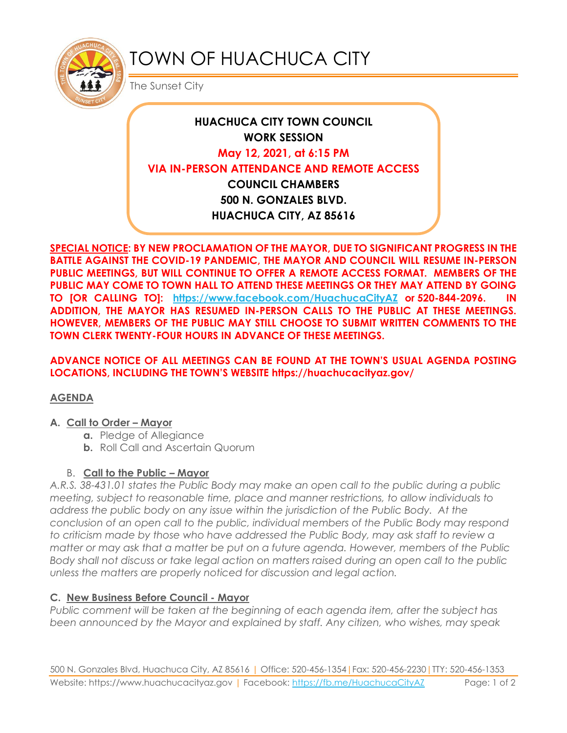

# TOWN OF HUACHUCA CITY

The Sunset City

## **HUACHUCA CITY TOWN COUNCIL WORK SESSION May 12, 2021, at 6:15 PM VIA IN-PERSON ATTENDANCE AND REMOTE ACCESS COUNCIL CHAMBERS 500 N. GONZALES BLVD. HUACHUCA CITY, AZ 85616**

**SPECIAL NOTICE: BY NEW PROCLAMATION OF THE MAYOR, DUE TO SIGNIFICANT PROGRESS IN THE BATTLE AGAINST THE COVID-19 PANDEMIC, THE MAYOR AND COUNCIL WILL RESUME IN-PERSON PUBLIC MEETINGS, BUT WILL CONTINUE TO OFFER A REMOTE ACCESS FORMAT. MEMBERS OF THE PUBLIC MAY COME TO TOWN HALL TO ATTEND THESE MEETINGS OR THEY MAY ATTEND BY GOING TO [OR CALLING TO]: <https://www.facebook.com/HuachucaCityAZ> or 520-844-2096. IN ADDITION, THE MAYOR HAS RESUMED IN-PERSON CALLS TO THE PUBLIC AT THESE MEETINGS. HOWEVER, MEMBERS OF THE PUBLIC MAY STILL CHOOSE TO SUBMIT WRITTEN COMMENTS TO THE TOWN CLERK TWENTY-FOUR HOURS IN ADVANCE OF THESE MEETINGS.** 

**ADVANCE NOTICE OF ALL MEETINGS CAN BE FOUND AT THE TOWN'S USUAL AGENDA POSTING LOCATIONS, INCLUDING THE TOWN'S WEBSITE https://huachucacityaz.gov/**

#### **AGENDA**

#### **A. Call to Order – Mayor**

- **a.** Pledge of Allegiance
- **b.** Roll Call and Ascertain Quorum

## B. **Call to the Public – Mayor**

*A.R.S. 38-431.01 states the Public Body may make an open call to the public during a public meeting, subject to reasonable time, place and manner restrictions, to allow individuals to address the public body on any issue within the jurisdiction of the Public Body. At the conclusion of an open call to the public, individual members of the Public Body may respond to criticism made by those who have addressed the Public Body, may ask staff to review a matter or may ask that a matter be put on a future agenda. However, members of the Public Body shall not discuss or take legal action on matters raised during an open call to the public unless the matters are properly noticed for discussion and legal action.*

## **C. New Business Before Council - Mayor**

*Public comment will be taken at the beginning of each agenda item, after the subject has been announced by the Mayor and explained by staff. Any citizen, who wishes, may speak*